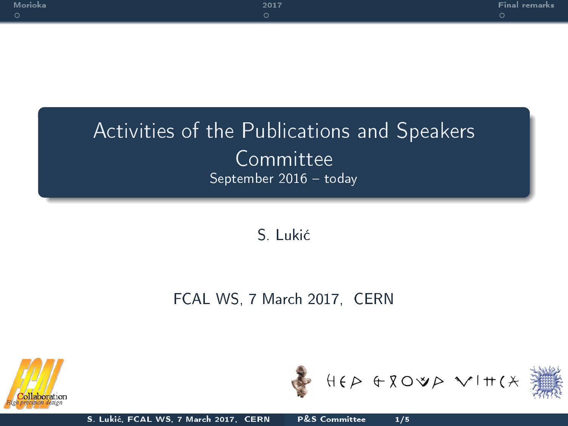| Morioka<br>O | 2017 | Final remarks |
|--------------|------|---------------|
|              |      |               |

## Activities of the Publications and Speakers **Committee** September  $2016 -$ today

S. Luki¢

## FCAL WS, 7 March 2017, CERN





<span id="page-0-0"></span>

S. Luki¢, FCAL WS, 7 March 2017, CERN [P&S Committee 1/5](#page-4-0)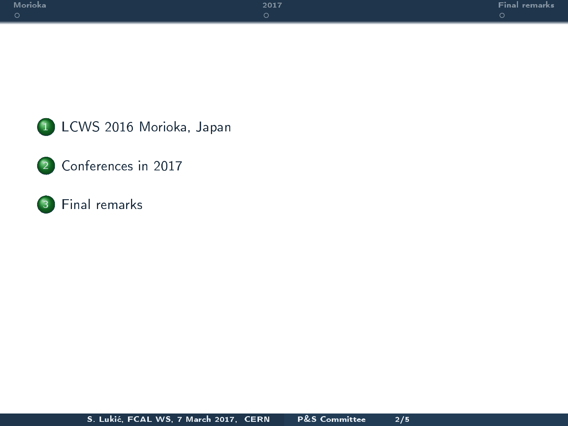





## 3 [Final remarks](#page-4-0)

S. Luki¢, FCAL WS, 7 March 2017, CERN [P&S Committee 2/5](#page-0-0)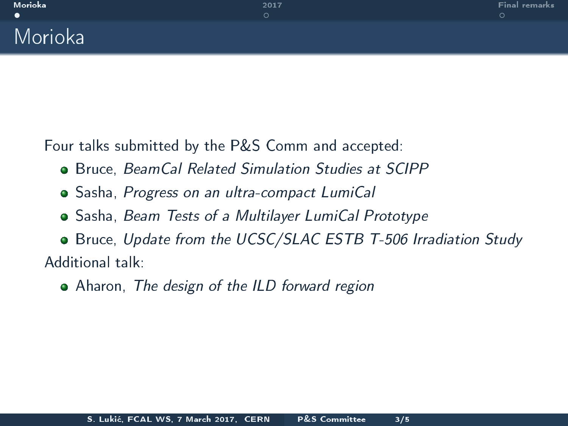Four talks submitted by the P&S Comm and accepted:

- **Bruce, BeamCal Related Simulation Studies at SCIPP**
- Sasha, Progress on an ultra-compact LumiCal
- Sasha, Beam Tests of a Multilayer LumiCal Prototype

Bruce, Update from the UCSC/SLAC ESTB T-506 Irradiation Study Additional talk:

<span id="page-2-0"></span>• Aharon, The design of the ILD forward region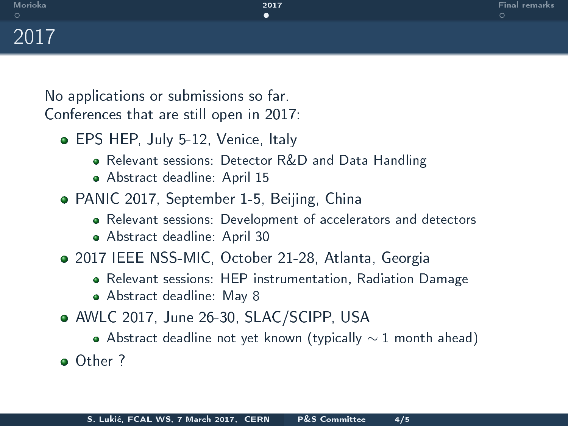No applications or submissions so far. Conferences that are still open in 2017:

- **EPS HEP, July 5-12, Venice, Italy** 
	- Relevant sessions: Detector R&D and Data Handling
	- Abstract deadline: April 15
- PANIC 2017, September 1-5, Beijing, China
	- Relevant sessions: Development of accelerators and detectors
	- Abstract deadline: April 30
- 2017 IEEE NSS-MIC, October 21-28, Atlanta, Georgia
	- Relevant sessions: HEP instrumentation, Radiation Damage
	- Abstract deadline: May 8
- AWLC 2017, June 26-30, SLAC/SCIPP, USA
	- $\bullet$  Abstract deadline not yet known (typically  $\sim$  1 month ahead)

<span id="page-3-0"></span>Other ?